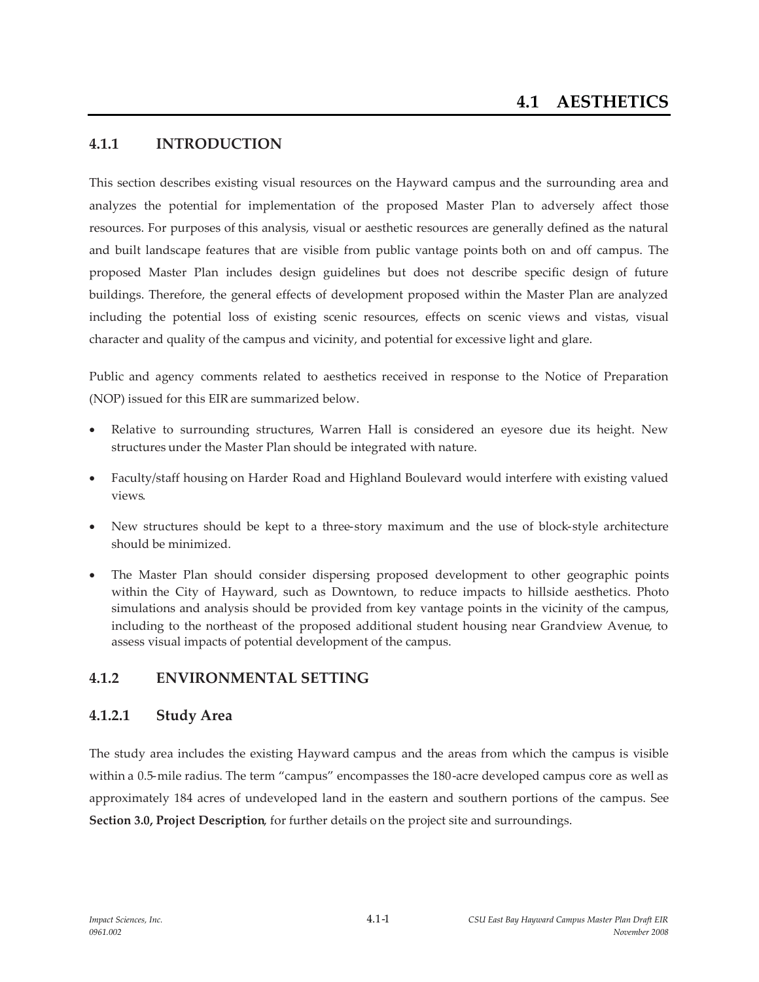# **4.1.1 INTRODUCTION**

This section describes existing visual resources on the Hayward campus and the surrounding area and analyzes the potential for implementation of the proposed Master Plan to adversely affect those resources. For purposes of this analysis, visual or aesthetic resources are generally defined as the natural and built landscape features that are visible from public vantage points both on and off campus. The proposed Master Plan includes design guidelines but does not describe specific design of future buildings. Therefore, the general effects of development proposed within the Master Plan are analyzed including the potential loss of existing scenic resources, effects on scenic views and vistas, visual character and quality of the campus and vicinity, and potential for excessive light and glare.

Public and agency comments related to aesthetics received in response to the Notice of Preparation (NOP) issued for this EIR are summarized below.

- Relative to surrounding structures, Warren Hall is considered an eyesore due its height. New structures under the Master Plan should be integrated with nature.
- Faculty/staff housing on Harder Road and Highland Boulevard would interfere with existing valued views.
- x New structures should be kept to a three-story maximum and the use of block-style architecture should be minimized.
- The Master Plan should consider dispersing proposed development to other geographic points within the City of Hayward, such as Downtown, to reduce impacts to hillside aesthetics. Photo simulations and analysis should be provided from key vantage points in the vicinity of the campus, including to the northeast of the proposed additional student housing near Grandview Avenue, to assess visual impacts of potential development of the campus.

# **4.1.2 ENVIRONMENTAL SETTING**

# **4.1.2.1 Study Area**

The study area includes the existing Hayward campus and the areas from which the campus is visible within a 0.5-mile radius. The term "campus" encompasses the 180 -acre developed campus core as well as approximately 184 acres of undeveloped land in the eastern and southern portions of the campus. See **Section 3.0, Project Description**, for further details on the project site and surroundings.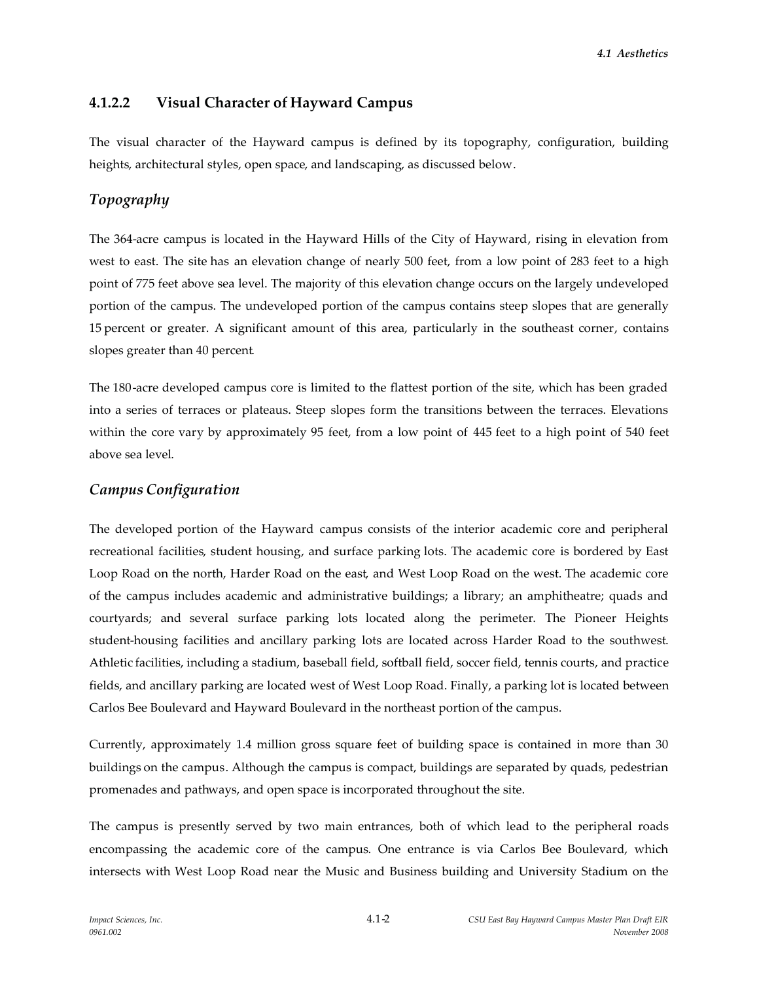## **4.1.2.2 Visual Character of Hayward Campus**

The visual character of the Hayward campus is defined by its topography, configuration, building heights, architectural styles, open space, and landscaping, as discussed below.

# *Topography*

The 364-acre campus is located in the Hayward Hills of the City of Hayward, rising in elevation from west to east. The site has an elevation change of nearly 500 feet, from a low point of 283 feet to a high point of 775 feet above sea level. The majority of this elevation change occurs on the largely undeveloped portion of the campus. The undeveloped portion of the campus contains steep slopes that are generally 15 percent or greater. A significant amount of this area, particularly in the southeast corner, contains slopes greater than 40 percent.

The 180 -acre developed campus core is limited to the flattest portion of the site, which has been graded into a series of terraces or plateaus. Steep slopes form the transitions between the terraces. Elevations within the core vary by approximately 95 feet, from a low point of 445 feet to a high point of 540 feet above sea level.

#### *Campus Configuration*

The developed portion of the Hayward campus consists of the interior academic core and peripheral recreational facilities, student housing, and surface parking lots. The academic core is bordered by East Loop Road on the north, Harder Road on the east, and West Loop Road on the west. The academic core of the campus includes academic and administrative buildings; a library; an amphitheatre; quads and courtyards; and several surface parking lots located along the perimeter. The Pioneer Heights student-housing facilities and ancillary parking lots are located across Harder Road to the southwest. Athletic facilities, including a stadium, baseball field, softball field, soccer field, tennis courts, and practice fields, and ancillary parking are located west of West Loop Road. Finally, a parking lot is located between Carlos Bee Boulevard and Hayward Boulevard in the northeast portion of the campus.

Currently, approximately 1.4 million gross square feet of building space is contained in more than 30 buildings on the campus. Although the campus is compact, buildings are separated by quads, pedestrian promenades and pathways, and open space is incorporated throughout the site.

The campus is presently served by two main entrances, both of which lead to the peripheral roads encompassing the academic core of the campus. One entrance is via Carlos Bee Boulevard, which intersects with West Loop Road near the Music and Business building and University Stadium on the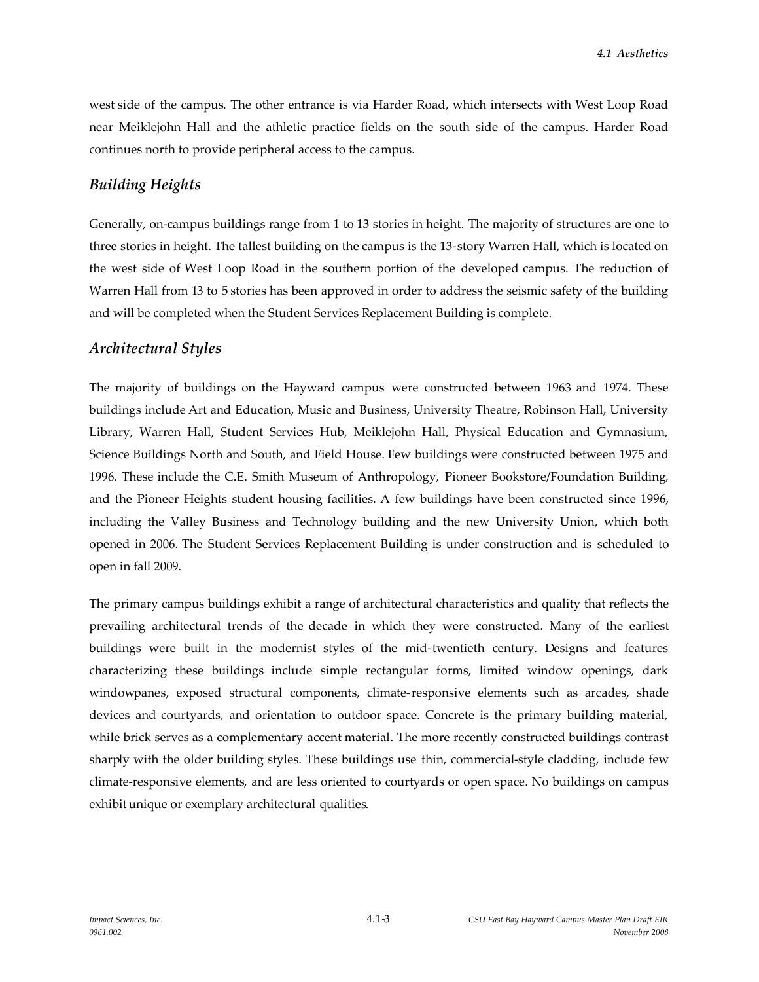west side of the campus. The other entrance is via Harder Road, which intersects with West Loop Road near Meiklejohn Hall and the athletic practice fields on the south side of the campus. Harder Road continues north to provide peripheral access to the campus.

#### *Building Heights*

Generally, on-campus buildings range from 1 to 13 stories in height. The majority of structures are one to three stories in height. The tallest building on the campus is the 13-story Warren Hall, which is located on the west side of West Loop Road in the southern portion of the developed campus. The reduction of Warren Hall from 13 to 5 stories has been approved in order to address the seismic safety of the building and will be completed when the Student Services Replacement Building is complete.

#### *Architectural Styles*

The majority of buildings on the Hayward campus were constructed between 1963 and 1974. These buildings include Art and Education, Music and Business, University Theatre, Robinson Hall, University Library, Warren Hall, Student Services Hub, Meiklejohn Hall, Physical Education and Gymnasium, Science Buildings North and South, and Field House. Few buildings were constructed between 1975 and 1996. These include the C.E. Smith Museum of Anthropology, Pioneer Bookstore/Foundation Building, and the Pioneer Heights student housing facilities. A few buildings have been constructed since 1996, including the Valley Business and Technology building and the new University Union, which both opened in 2006. The Student Services Replacement Building is under construction and is scheduled to open in fall 2009.

The primary campus buildings exhibit a range of architectural characteristics and quality that reflects the prevailing architectural trends of the decade in which they were constructed. Many of the earliest buildings were built in the modernist styles of the mid-twentieth century. Designs and features characterizing these buildings include simple rectangular forms, limited window openings, dark windowpanes, exposed structural components, climate-responsive elements such as arcades, shade devices and courtyards, and orientation to outdoor space. Concrete is the primary building material, while brick serves as a complementary accent material. The more recently constructed buildings contrast sharply with the older building styles. These buildings use thin, commercial-style cladding, include few climate-responsive elements, and are less oriented to courtyards or open space. No buildings on campus exhibit unique or exemplary architectural qualities.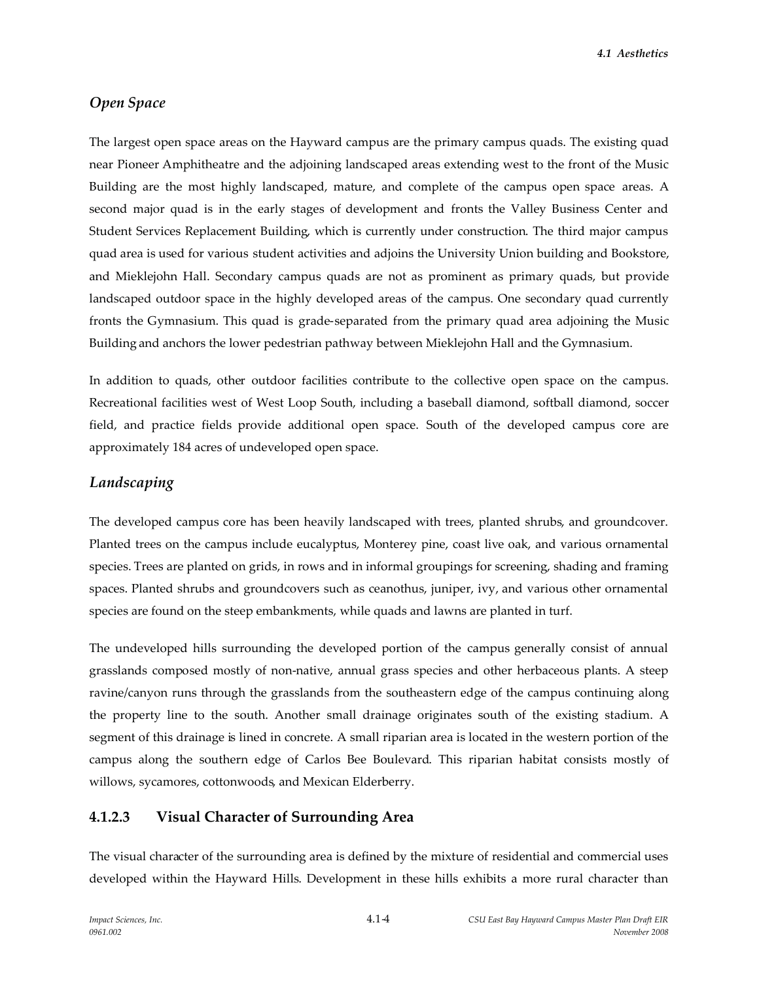## *Open Space*

The largest open space areas on the Hayward campus are the primary campus quads. The existing quad near Pioneer Amphitheatre and the adjoining landscaped areas extending west to the front of the Music Building are the most highly landscaped, mature, and complete of the campus open space areas. A second major quad is in the early stages of development and fronts the Valley Business Center and Student Services Replacement Building, which is currently under construction. The third major campus quad area is used for various student activities and adjoins the University Union building and Bookstore, and Mieklejohn Hall. Secondary campus quads are not as prominent as primary quads, but provide landscaped outdoor space in the highly developed areas of the campus. One secondary quad currently fronts the Gymnasium. This quad is grade-separated from the primary quad area adjoining the Music Building and anchors the lower pedestrian pathway between Mieklejohn Hall and the Gymnasium.

In addition to quads, other outdoor facilities contribute to the collective open space on the campus. Recreational facilities west of West Loop South, including a baseball diamond, softball diamond, soccer field, and practice fields provide additional open space. South of the developed campus core are approximately 184 acres of undeveloped open space.

#### *Landscaping*

The developed campus core has been heavily landscaped with trees, planted shrubs, and groundcover. Planted trees on the campus include eucalyptus, Monterey pine, coast live oak, and various ornamental species. Trees are planted on grids, in rows and in informal groupings for screening, shading and framing spaces. Planted shrubs and groundcovers such as ceanothus, juniper, ivy, and various other ornamental species are found on the steep embankments, while quads and lawns are planted in turf.

The undeveloped hills surrounding the developed portion of the campus generally consist of annual grasslands composed mostly of non-native, annual grass species and other herbaceous plants. A steep ravine/canyon runs through the grasslands from the southeastern edge of the campus continuing along the property line to the south. Another small drainage originates south of the existing stadium. A segment of this drainage is lined in concrete. A small riparian area is located in the western portion of the campus along the southern edge of Carlos Bee Boulevard. This riparian habitat consists mostly of willows, sycamores, cottonwoods, and Mexican Elderberry.

#### **4.1.2.3 Visual Character of Surrounding Area**

The visual character of the surrounding area is defined by the mixture of residential and commercial uses developed within the Hayward Hills. Development in these hills exhibits a more rural character than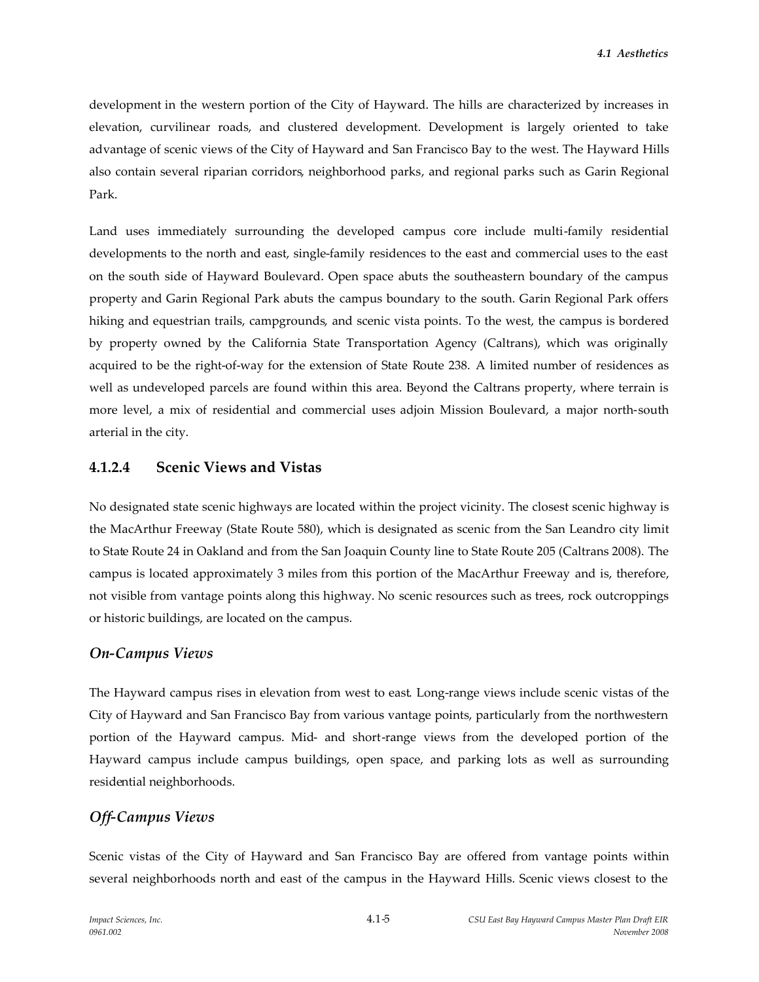development in the western portion of the City of Hayward. The hills are characterized by increases in elevation, curvilinear roads, and clustered development. Development is largely oriented to take advantage of scenic views of the City of Hayward and San Francisco Bay to the west. The Hayward Hills also contain several riparian corridors, neighborhood parks, and regional parks such as Garin Regional Park.

Land uses immediately surrounding the developed campus core include multi-family residential developments to the north and east, single-family residences to the east and commercial uses to the east on the south side of Hayward Boulevard. Open space abuts the southeastern boundary of the campus property and Garin Regional Park abuts the campus boundary to the south. Garin Regional Park offers hiking and equestrian trails, campgrounds, and scenic vista points. To the west, the campus is bordered by property owned by the California State Transportation Agency (Caltrans), which was originally acquired to be the right-of-way for the extension of State Route 238. A limited number of residences as well as undeveloped parcels are found within this area. Beyond the Caltrans property, where terrain is more level, a mix of residential and commercial uses adjoin Mission Boulevard, a major north-south arterial in the city.

# **4.1.2.4 Scenic Views and Vistas**

No designated state scenic highways are located within the project vicinity. The closest scenic highway is the MacArthur Freeway (State Route 580), which is designated as scenic from the San Leandro city limit to State Route 24 in Oakland and from the San Joaquin County line to State Route 205 (Caltrans 2008). The campus is located approximately 3 miles from this portion of the MacArthur Freeway and is, therefore, not visible from vantage points along this highway. No scenic resources such as trees, rock outcroppings or historic buildings, are located on the campus.

## *On-Campus Views*

The Hayward campus rises in elevation from west to east. Long-range views include scenic vistas of the City of Hayward and San Francisco Bay from various vantage points, particularly from the northwestern portion of the Hayward campus. Mid- and short-range views from the developed portion of the Hayward campus include campus buildings, open space, and parking lots as well as surrounding residential neighborhoods.

# *Off-Campus Views*

Scenic vistas of the City of Hayward and San Francisco Bay are offered from vantage points within several neighborhoods north and east of the campus in the Hayward Hills. Scenic views closest to the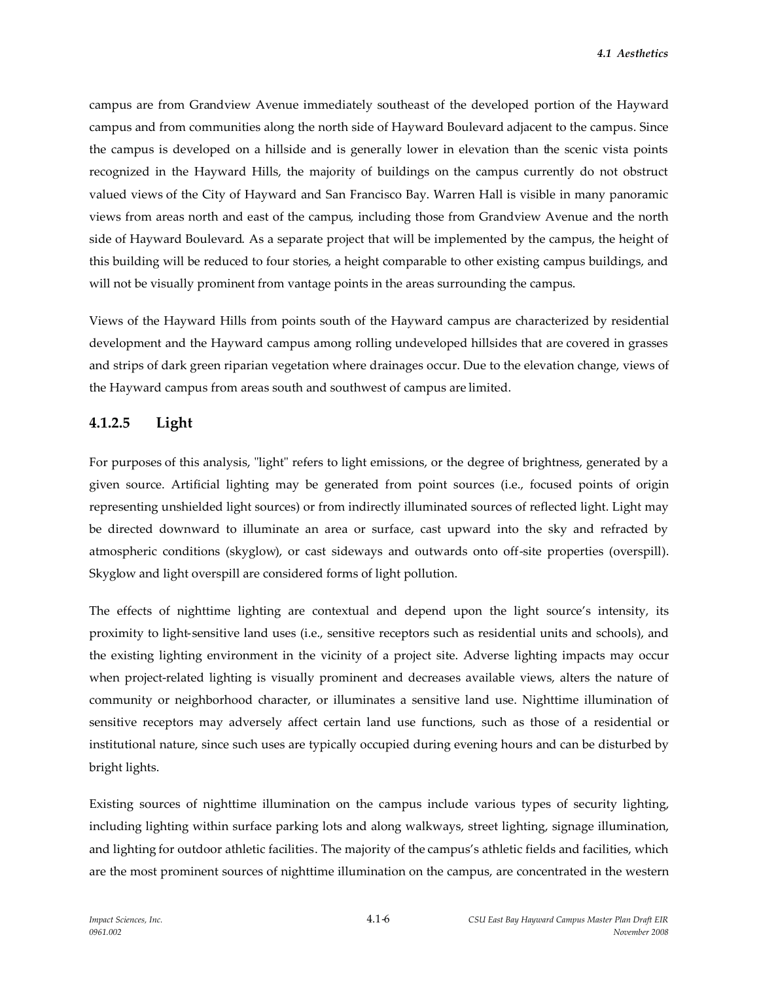campus are from Grandview Avenue immediately southeast of the developed portion of the Hayward campus and from communities along the north side of Hayward Boulevard adjacent to the campus. Since the campus is developed on a hillside and is generally lower in elevation than the scenic vista points recognized in the Hayward Hills, the majority of buildings on the campus currently do not obstruct valued views of the City of Hayward and San Francisco Bay. Warren Hall is visible in many panoramic views from areas north and east of the campus, including those from Grandview Avenue and the north side of Hayward Boulevard. As a separate project that will be implemented by the campus, the height of this building will be reduced to four stories, a height comparable to other existing campus buildings, and will not be visually prominent from vantage points in the areas surrounding the campus.

Views of the Hayward Hills from points south of the Hayward campus are characterized by residential development and the Hayward campus among rolling undeveloped hillsides that are covered in grasses and strips of dark green riparian vegetation where drainages occur. Due to the elevation change, views of the Hayward campus from areas south and southwest of campus are limited.

#### **4.1.2.5 Light**

For purposes of this analysis, "light" refers to light emissions, or the degree of brightness, generated by a given source. Artificial lighting may be generated from point sources (i.e., focused points of origin representing unshielded light sources) or from indirectly illuminated sources of reflected light. Light may be directed downward to illuminate an area or surface, cast upward into the sky and refracted by atmospheric conditions (skyglow), or cast sideways and outwards onto off-site properties (overspill). Skyglow and light overspill are considered forms of light pollution.

The effects of nighttime lighting are contextual and depend upon the light source's intensity, its proximity to light-sensitive land uses (i.e., sensitive receptors such as residential units and schools), and the existing lighting environment in the vicinity of a project site. Adverse lighting impacts may occur when project-related lighting is visually prominent and decreases available views, alters the nature of community or neighborhood character, or illuminates a sensitive land use. Nighttime illumination of sensitive receptors may adversely affect certain land use functions, such as those of a residential or institutional nature, since such uses are typically occupied during evening hours and can be disturbed by bright lights.

Existing sources of nighttime illumination on the campus include various types of security lighting, including lighting within surface parking lots and along walkways, street lighting, signage illumination, and lighting for outdoor athletic facilities. The majority of the campus's athletic fields and facilities, which are the most prominent sources of nighttime illumination on the campus, are concentrated in the western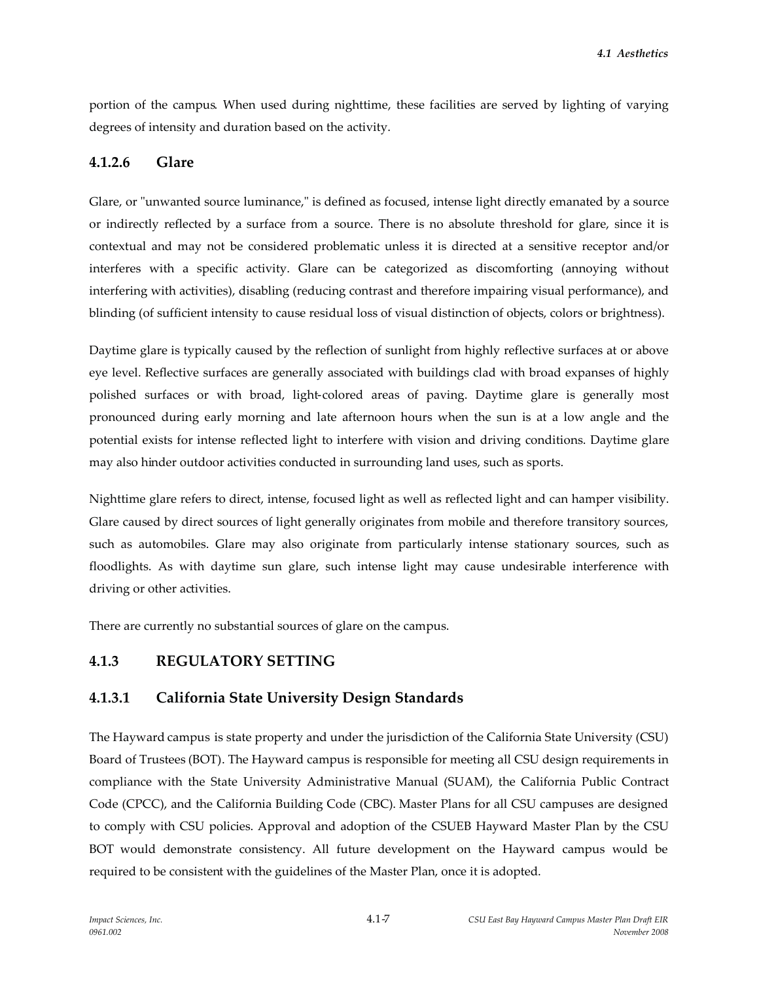portion of the campus. When used during nighttime, these facilities are served by lighting of varying degrees of intensity and duration based on the activity.

# **4.1.2.6 Glare**

Glare, or "unwanted source luminance," is defined as focused, intense light directly emanated by a source or indirectly reflected by a surface from a source. There is no absolute threshold for glare, since it is contextual and may not be considered problematic unless it is directed at a sensitive receptor and/or interferes with a specific activity. Glare can be categorized as discomforting (annoying without interfering with activities), disabling (reducing contrast and therefore impairing visual performance), and blinding (of sufficient intensity to cause residual loss of visual distinction of objects, colors or brightness).

Daytime glare is typically caused by the reflection of sunlight from highly reflective surfaces at or above eye level. Reflective surfaces are generally associated with buildings clad with broad expanses of highly polished surfaces or with broad, light-colored areas of paving. Daytime glare is generally most pronounced during early morning and late afternoon hours when the sun is at a low angle and the potential exists for intense reflected light to interfere with vision and driving conditions. Daytime glare may also hinder outdoor activities conducted in surrounding land uses, such as sports.

Nighttime glare refers to direct, intense, focused light as well as reflected light and can hamper visibility. Glare caused by direct sources of light generally originates from mobile and therefore transitory sources, such as automobiles. Glare may also originate from particularly intense stationary sources, such as floodlights. As with daytime sun glare, such intense light may cause undesirable interference with driving or other activities.

There are currently no substantial sources of glare on the campus.

# **4.1.3 REGULATORY SETTING**

# **4.1.3.1 California State University Design Standards**

The Hayward campus is state property and under the jurisdiction of the California State University (CSU) Board of Trustees (BOT). The Hayward campus is responsible for meeting all CSU design requirements in compliance with the State University Administrative Manual (SUAM), the California Public Contract Code (CPCC), and the California Building Code (CBC). Master Plans for all CSU campuses are designed to comply with CSU policies. Approval and adoption of the CSUEB Hayward Master Plan by the CSU BOT would demonstrate consistency. All future development on the Hayward campus would be required to be consistent with the guidelines of the Master Plan, once it is adopted.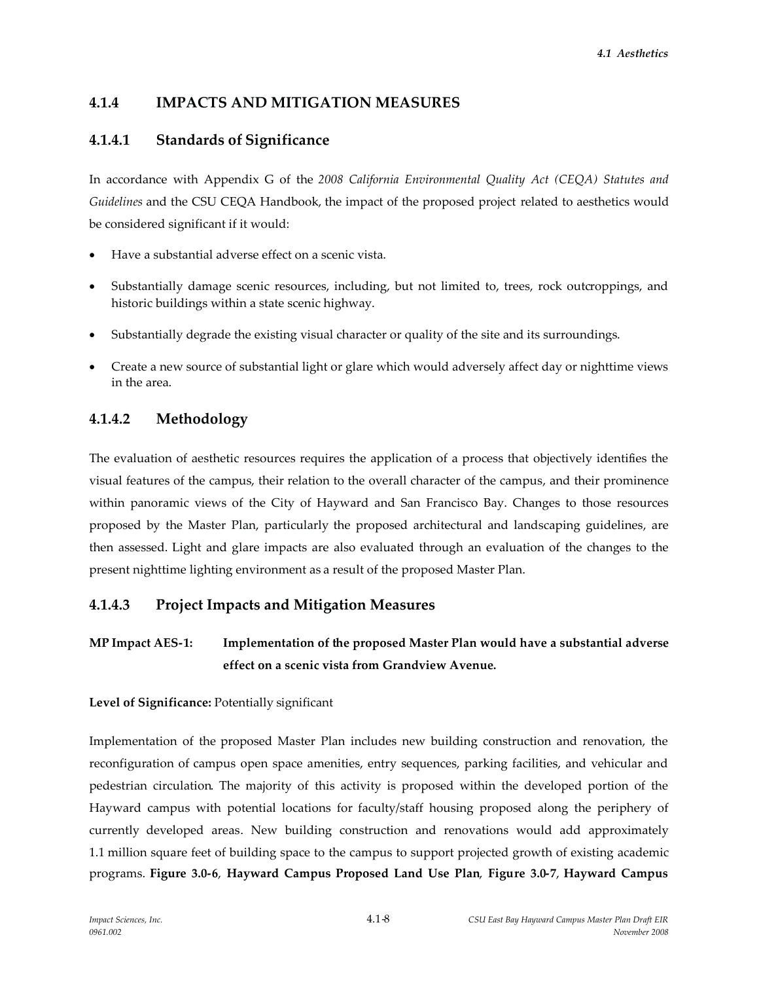# **4.1.4 IMPACTS AND MITIGATION MEASURES**

# **4.1.4.1 Standards of Significance**

In accordance with Appendix G of the *2008 California Environmental Quality Act (CEQA) Statutes and Guidelines* and the CSU CEQA Handbook, the impact of the proposed project related to aesthetics would be considered significant if it would:

- Have a substantial adverse effect on a scenic vista.
- Substantially damage scenic resources, including, but not limited to, trees, rock outcroppings, and historic buildings within a state scenic highway.
- Substantially degrade the existing visual character or quality of the site and its surroundings.
- x Create a new source of substantial light or glare which would adversely affect day or nighttime views in the area.

# **4.1.4.2 Methodology**

The evaluation of aesthetic resources requires the application of a process that objectively identifies the visual features of the campus, their relation to the overall character of the campus, and their prominence within panoramic views of the City of Hayward and San Francisco Bay. Changes to those resources proposed by the Master Plan, particularly the proposed architectural and landscaping guidelines, are then assessed. Light and glare impacts are also evaluated through an evaluation of the changes to the present nighttime lighting environment as a result of the proposed Master Plan.

# **4.1.4.3 Project Impacts and Mitigation Measures**

# **MP Impact AES-1: Implementation of the proposed Master Plan would have a substantial adverse effect on a scenic vista from Grandview Avenue.**

#### **Level of Significance:** Potentially significant

Implementation of the proposed Master Plan includes new building construction and renovation, the reconfiguration of campus open space amenities, entry sequences, parking facilities, and vehicular and pedestrian circulation. The majority of this activity is proposed within the developed portion of the Hayward campus with potential locations for faculty/staff housing proposed along the periphery of currently developed areas. New building construction and renovations would add approximately 1.1 million square feet of building space to the campus to support projected growth of existing academic programs. **Figure 3.0-6**, **Hayward Campus Proposed Land Use Plan**, **Figure 3.0-7**, **Hayward Campus**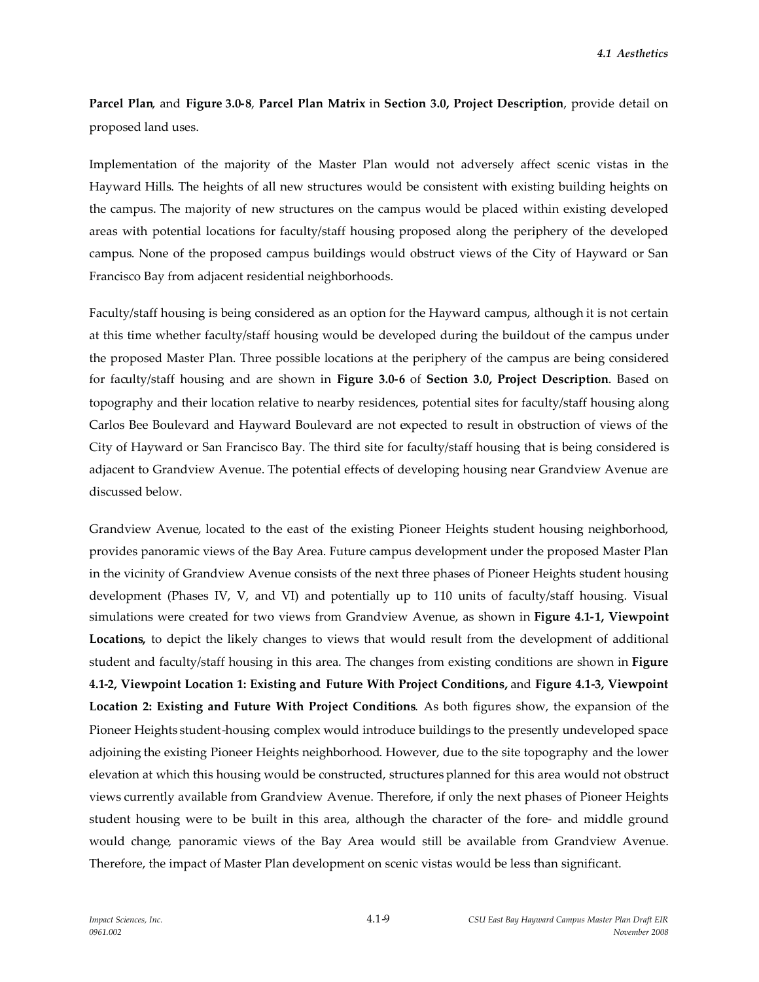**Parcel Plan**, and **Figure 3.0-8**, **Parcel Plan Matrix** in **Section 3.0, Project Description**, provide detail on proposed land uses.

Implementation of the majority of the Master Plan would not adversely affect scenic vistas in the Hayward Hills. The heights of all new structures would be consistent with existing building heights on the campus. The majority of new structures on the campus would be placed within existing developed areas with potential locations for faculty/staff housing proposed along the periphery of the developed campus. None of the proposed campus buildings would obstruct views of the City of Hayward or San Francisco Bay from adjacent residential neighborhoods.

Faculty/staff housing is being considered as an option for the Hayward campus, although it is not certain at this time whether faculty/staff housing would be developed during the buildout of the campus under the proposed Master Plan. Three possible locations at the periphery of the campus are being considered for faculty/staff housing and are shown in **Figure 3.0-6** of **Section 3.0, Project Description**. Based on topography and their location relative to nearby residences, potential sites for faculty/staff housing along Carlos Bee Boulevard and Hayward Boulevard are not expected to result in obstruction of views of the City of Hayward or San Francisco Bay. The third site for faculty/staff housing that is being considered is adjacent to Grandview Avenue. The potential effects of developing housing near Grandview Avenue are discussed below.

Grandview Avenue, located to the east of the existing Pioneer Heights student housing neighborhood, provides panoramic views of the Bay Area. Future campus development under the proposed Master Plan in the vicinity of Grandview Avenue consists of the next three phases of Pioneer Heights student housing development (Phases IV, V, and VI) and potentially up to 110 units of faculty/staff housing. Visual simulations were created for two views from Grandview Avenue, as shown in **Figure 4.1-1, Viewpoint Locations,** to depict the likely changes to views that would result from the development of additional student and faculty/staff housing in this area. The changes from existing conditions are shown in **Figure 4.1-2, Viewpoint Location 1: Existing and Future With Project Conditions,** and **Figure 4.1-3, Viewpoint Location 2: Existing and Future With Project Conditions**. As both figures show, the expansion of the Pioneer Heights student-housing complex would introduce buildings to the presently undeveloped space adjoining the existing Pioneer Heights neighborhood. However, due to the site topography and the lower elevation at which this housing would be constructed, structures planned for this area would not obstruct views currently available from Grandview Avenue. Therefore, if only the next phases of Pioneer Heights student housing were to be built in this area, although the character of the fore- and middle ground would change, panoramic views of the Bay Area would still be available from Grandview Avenue. Therefore, the impact of Master Plan development on scenic vistas would be less than significant.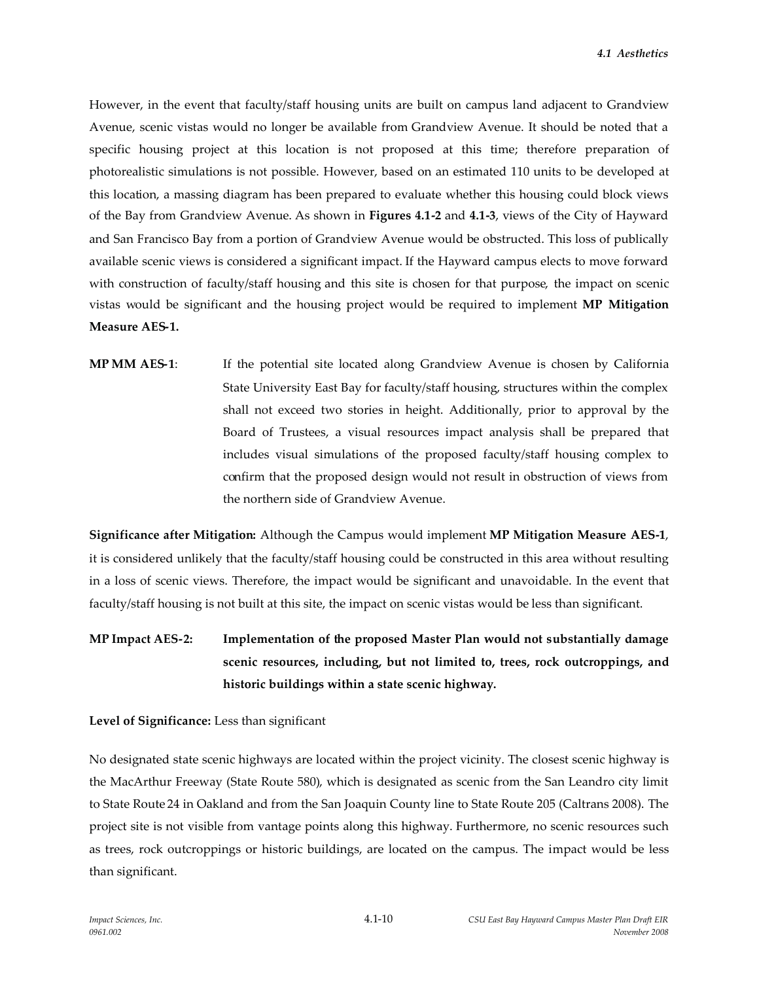However, in the event that faculty/staff housing units are built on campus land adjacent to Grandview Avenue, scenic vistas would no longer be available from Grandview Avenue. It should be noted that a specific housing project at this location is not proposed at this time; therefore preparation of photorealistic simulations is not possible. However, based on an estimated 110 units to be developed at this location, a massing diagram has been prepared to evaluate whether this housing could block views of the Bay from Grandview Avenue. As shown in **Figures 4.1-2** and **4.1-3**, views of the City of Hayward and San Francisco Bay from a portion of Grandview Avenue would be obstructed. This loss of publically available scenic views is considered a significant impact. If the Hayward campus elects to move forward with construction of faculty/staff housing and this site is chosen for that purpose, the impact on scenic vistas would be significant and the housing project would be required to implement **MP Mitigation Measure AES-1.**

**MP MM AES-1**: If the potential site located along Grandview Avenue is chosen by California State University East Bay for faculty/staff housing, structures within the complex shall not exceed two stories in height. Additionally, prior to approval by the Board of Trustees, a visual resources impact analysis shall be prepared that includes visual simulations of the proposed faculty/staff housing complex to confirm that the proposed design would not result in obstruction of views from the northern side of Grandview Avenue.

**Significance after Mitigation:** Although the Campus would implement **MP Mitigation Measure AES-1**, it is considered unlikely that the faculty/staff housing could be constructed in this area without resulting in a loss of scenic views. Therefore, the impact would be significant and unavoidable. In the event that faculty/staff housing is not built at this site, the impact on scenic vistas would be less than significant.

# **MP Impact AES-2: Implementation of the proposed Master Plan would not substantially damage scenic resources, including, but not limited to, trees, rock outcroppings, and historic buildings within a state scenic highway.**

#### **Level of Significance:** Less than significant

No designated state scenic highways are located within the project vicinity. The closest scenic highway is the MacArthur Freeway (State Route 580), which is designated as scenic from the San Leandro city limit to State Route 24 in Oakland and from the San Joaquin County line to State Route 205 (Caltrans 2008). The project site is not visible from vantage points along this highway. Furthermore, no scenic resources such as trees, rock outcroppings or historic buildings, are located on the campus. The impact would be less than significant.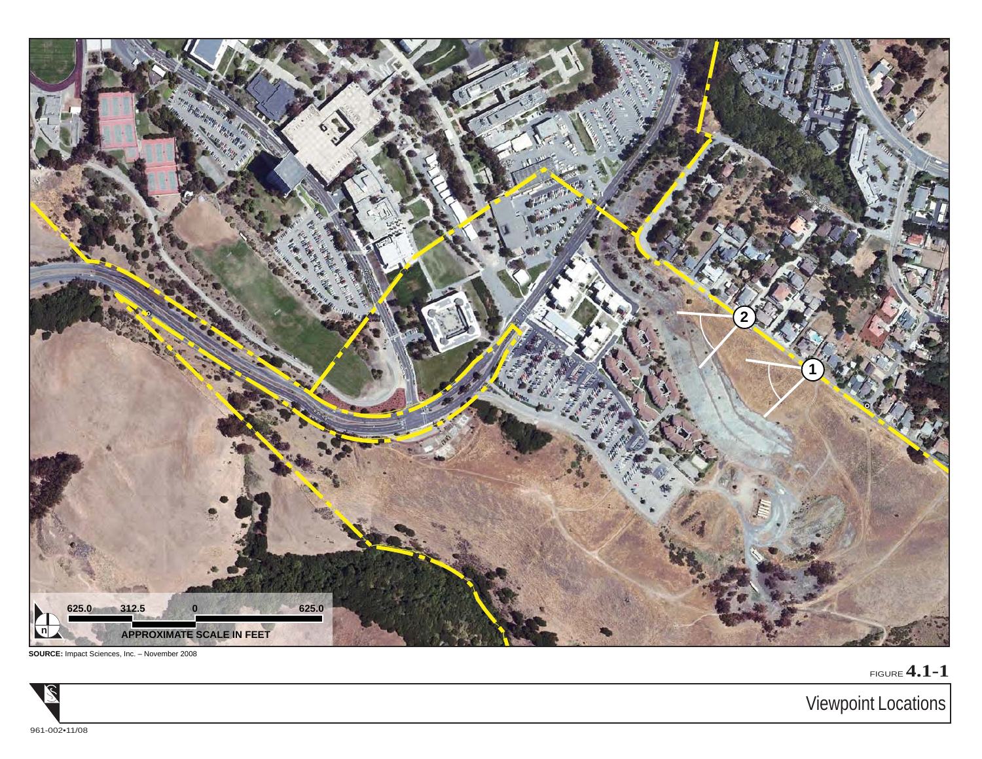

**SOURCE:** Impact Sciences, Inc. – November 2008

FIGURE **4.1-1**



Viewpoint Locations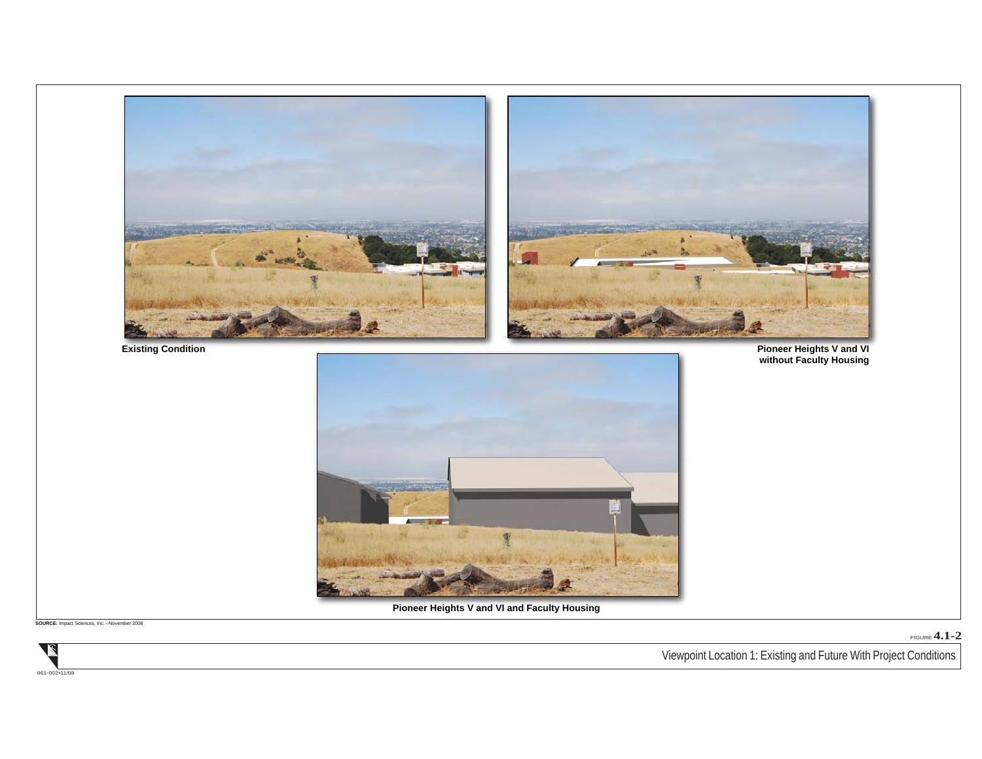

**SOURCE:** Impact Sciences, Inc. –November 2008

FIGURE **4.1-2**

Viewpoint Location 1: Existing and Future With Project Conditions

2 961-002•11/08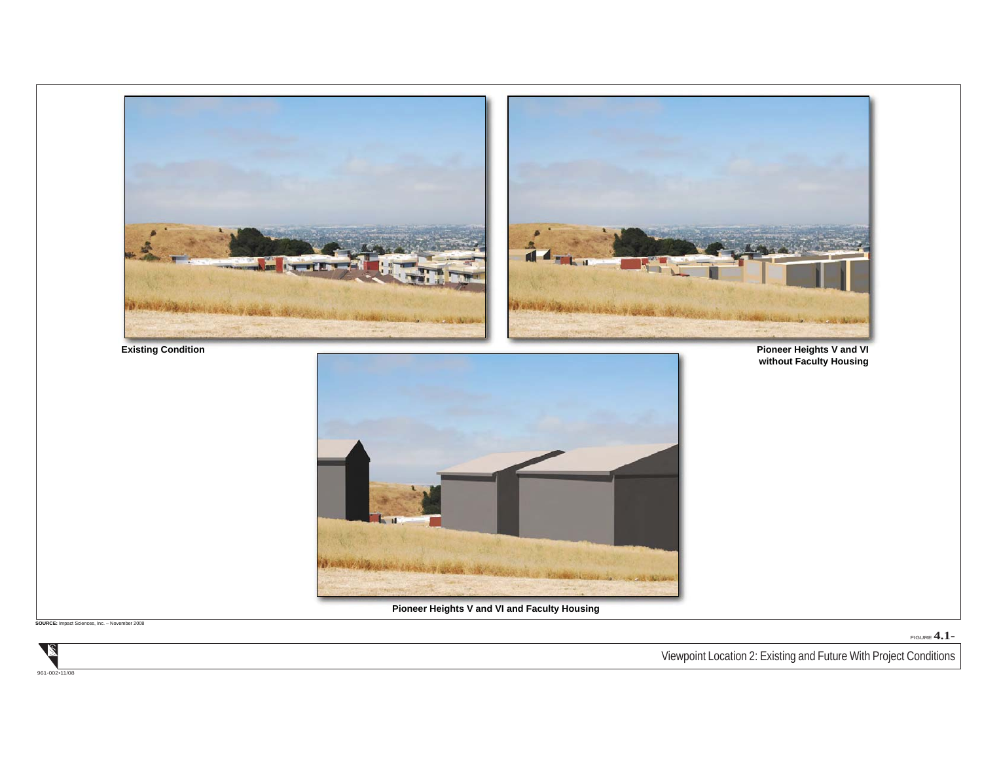

**SOURCE:** Impact Sciences, Inc. – November 2008

FIGURE **4.1-**

Viewpoint Location 2: Existing and Future With Project Conditions

961-002•11/08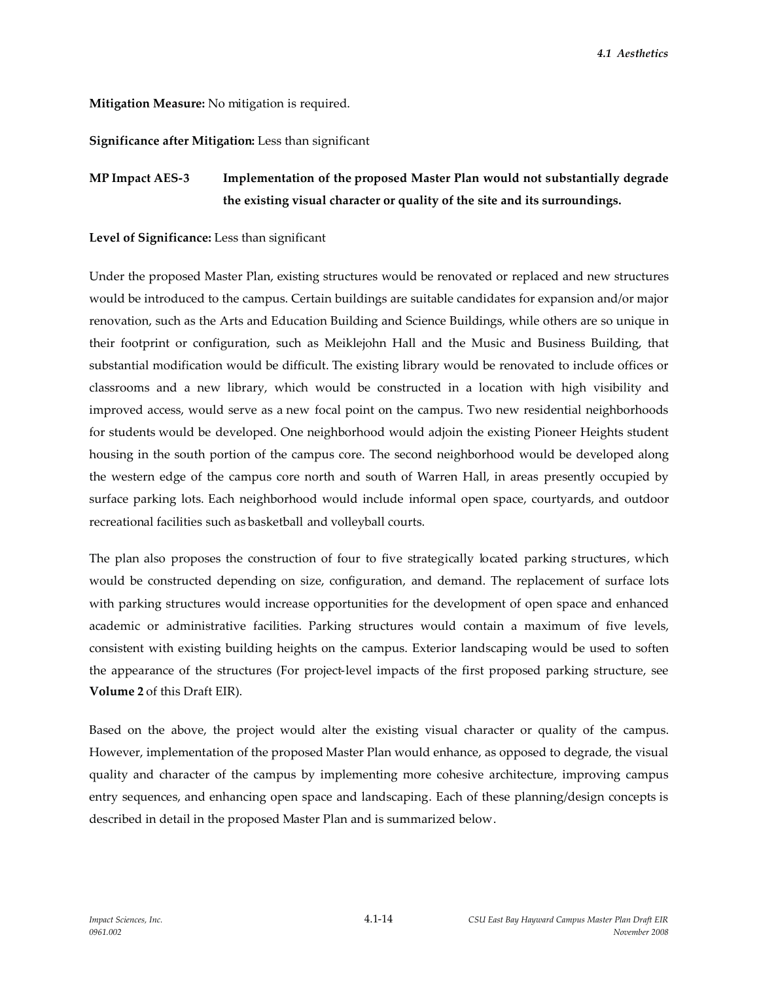#### **Mitigation Measure:** No mitigation is required.

**Significance after Mitigation:** Less than significant

# **MP Impact AES-3 Implementation of the proposed Master Plan would not substantially degrade the existing visual character or quality of the site and its surroundings.**

#### **Level of Significance:** Less than significant

Under the proposed Master Plan, existing structures would be renovated or replaced and new structures would be introduced to the campus. Certain buildings are suitable candidates for expansion and/or major renovation, such as the Arts and Education Building and Science Buildings, while others are so unique in their footprint or configuration, such as Meiklejohn Hall and the Music and Business Building, that substantial modification would be difficult. The existing library would be renovated to include offices or classrooms and a new library, which would be constructed in a location with high visibility and improved access, would serve as a new focal point on the campus. Two new residential neighborhoods for students would be developed. One neighborhood would adjoin the existing Pioneer Heights student housing in the south portion of the campus core. The second neighborhood would be developed along the western edge of the campus core north and south of Warren Hall, in areas presently occupied by surface parking lots. Each neighborhood would include informal open space, courtyards, and outdoor recreational facilities such as basketball and volleyball courts.

The plan also proposes the construction of four to five strategically located parking structures, which would be constructed depending on size, configuration, and demand. The replacement of surface lots with parking structures would increase opportunities for the development of open space and enhanced academic or administrative facilities. Parking structures would contain a maximum of five levels, consistent with existing building heights on the campus. Exterior landscaping would be used to soften the appearance of the structures (For project-level impacts of the first proposed parking structure, see **Volume 2** of this Draft EIR).

Based on the above, the project would alter the existing visual character or quality of the campus. However, implementation of the proposed Master Plan would enhance, as opposed to degrade, the visual quality and character of the campus by implementing more cohesive architecture, improving campus entry sequences, and enhancing open space and landscaping. Each of these planning/design concepts is described in detail in the proposed Master Plan and is summarized below.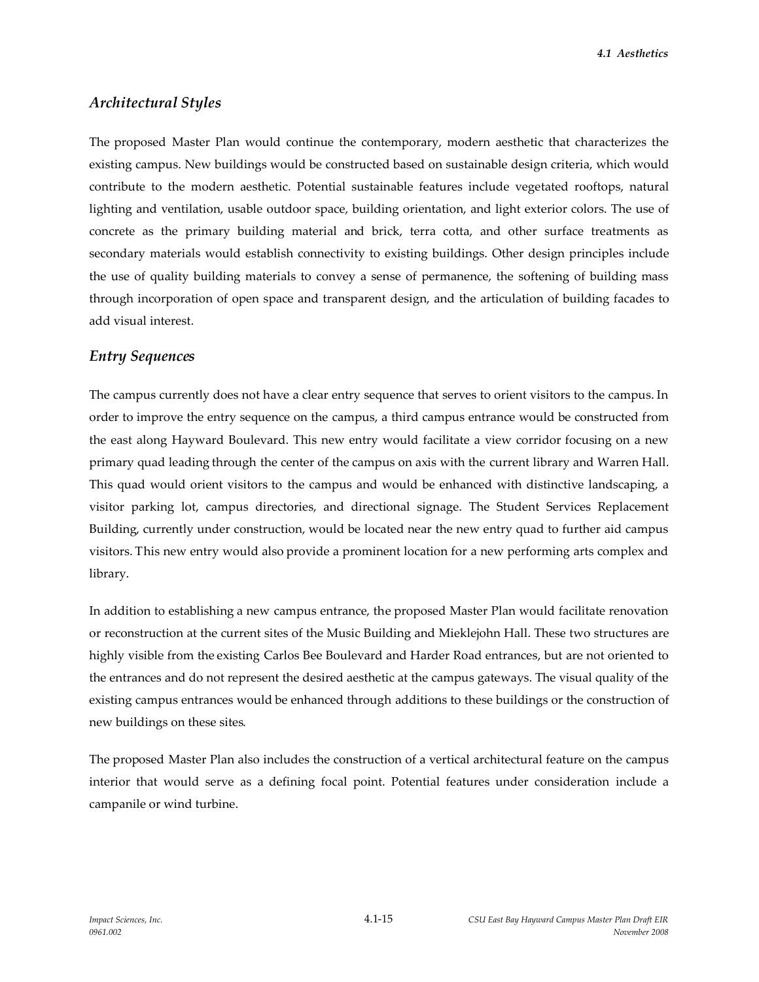*4.1 Aesthetics*

## *Architectural Styles*

The proposed Master Plan would continue the contemporary, modern aesthetic that characterizes the existing campus. New buildings would be constructed based on sustainable design criteria, which would contribute to the modern aesthetic. Potential sustainable features include vegetated rooftops, natural lighting and ventilation, usable outdoor space, building orientation, and light exterior colors. The use of concrete as the primary building material and brick, terra cotta, and other surface treatments as secondary materials would establish connectivity to existing buildings. Other design principles include the use of quality building materials to convey a sense of permanence, the softening of building mass through incorporation of open space and transparent design, and the articulation of building facades to add visual interest.

#### *Entry Sequences*

The campus currently does not have a clear entry sequence that serves to orient visitors to the campus. In order to improve the entry sequence on the campus, a third campus entrance would be constructed from the east along Hayward Boulevard. This new entry would facilitate a view corridor focusing on a new primary quad leading through the center of the campus on axis with the current library and Warren Hall. This quad would orient visitors to the campus and would be enhanced with distinctive landscaping, a visitor parking lot, campus directories, and directional signage. The Student Services Replacement Building, currently under construction, would be located near the new entry quad to further aid campus visitors. This new entry would also provide a prominent location for a new performing arts complex and library.

In addition to establishing a new campus entrance, the proposed Master Plan would facilitate renovation or reconstruction at the current sites of the Music Building and Mieklejohn Hall. These two structures are highly visible from the existing Carlos Bee Boulevard and Harder Road entrances, but are not oriented to the entrances and do not represent the desired aesthetic at the campus gateways. The visual quality of the existing campus entrances would be enhanced through additions to these buildings or the construction of new buildings on these sites.

The proposed Master Plan also includes the construction of a vertical architectural feature on the campus interior that would serve as a defining focal point. Potential features under consideration include a campanile or wind turbine.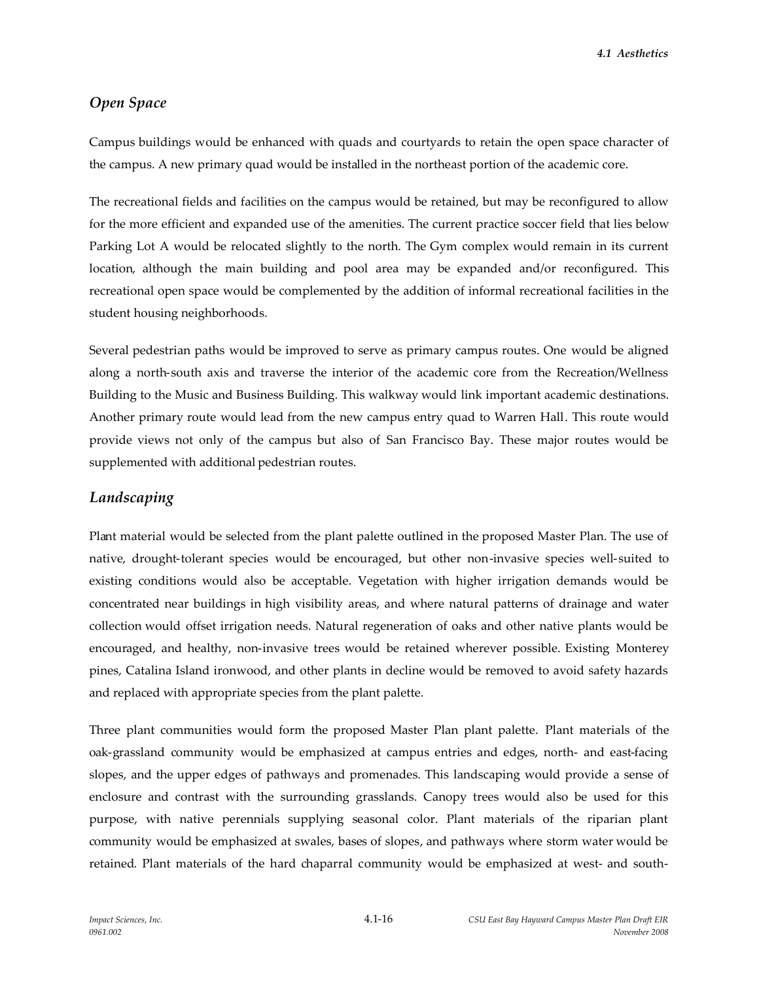*4.1 Aesthetics*

## *Open Space*

Campus buildings would be enhanced with quads and courtyards to retain the open space character of the campus. A new primary quad would be installed in the northeast portion of the academic core.

The recreational fields and facilities on the campus would be retained, but may be reconfigured to allow for the more efficient and expanded use of the amenities. The current practice soccer field that lies below Parking Lot A would be relocated slightly to the north. The Gym complex would remain in its current location, although the main building and pool area may be expanded and/or reconfigured. This recreational open space would be complemented by the addition of informal recreational facilities in the student housing neighborhoods.

Several pedestrian paths would be improved to serve as primary campus routes. One would be aligned along a north-south axis and traverse the interior of the academic core from the Recreation/Wellness Building to the Music and Business Building. This walkway would link important academic destinations. Another primary route would lead from the new campus entry quad to Warren Hall. This route would provide views not only of the campus but also of San Francisco Bay. These major routes would be supplemented with additional pedestrian routes.

#### *Landscaping*

Plant material would be selected from the plant palette outlined in the proposed Master Plan. The use of native, drought-tolerant species would be encouraged, but other non-invasive species well-suited to existing conditions would also be acceptable. Vegetation with higher irrigation demands would be concentrated near buildings in high visibility areas, and where natural patterns of drainage and water collection would offset irrigation needs. Natural regeneration of oaks and other native plants would be encouraged, and healthy, non-invasive trees would be retained wherever possible. Existing Monterey pines, Catalina Island ironwood, and other plants in decline would be removed to avoid safety hazards and replaced with appropriate species from the plant palette.

Three plant communities would form the proposed Master Plan plant palette. Plant materials of the oak-grassland community would be emphasized at campus entries and edges, north- and east-facing slopes, and the upper edges of pathways and promenades. This landscaping would provide a sense of enclosure and contrast with the surrounding grasslands. Canopy trees would also be used for this purpose, with native perennials supplying seasonal color. Plant materials of the riparian plant community would be emphasized at swales, bases of slopes, and pathways where storm water would be retained. Plant materials of the hard chaparral community would be emphasized at west- and south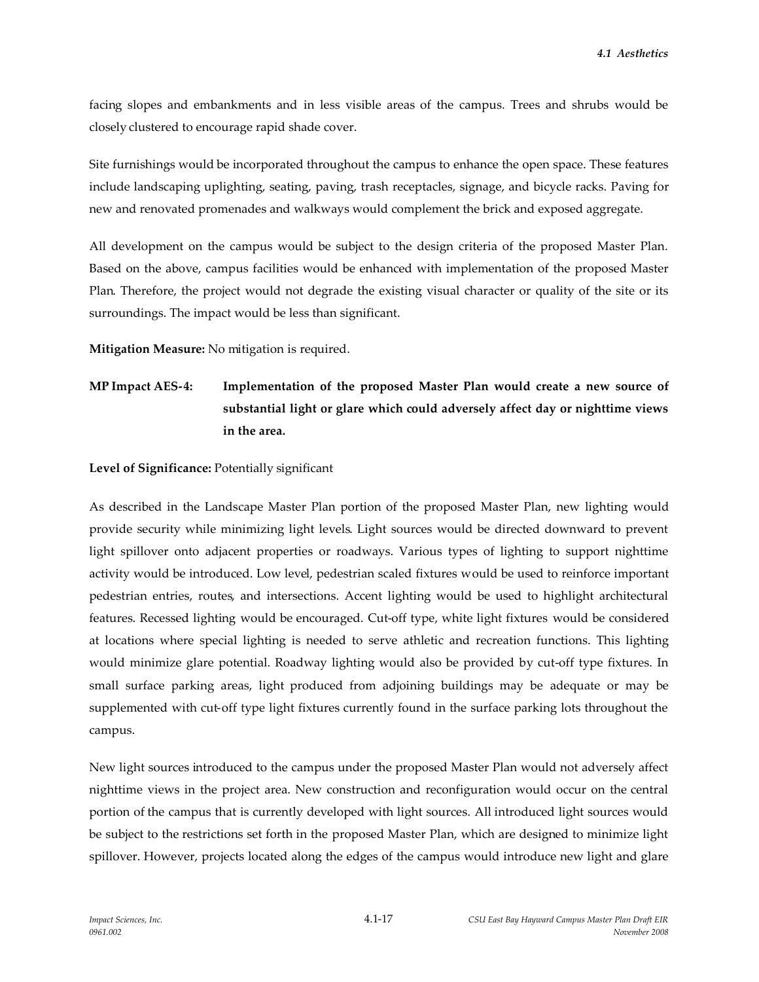facing slopes and embankments and in less visible areas of the campus. Trees and shrubs would be closely clustered to encourage rapid shade cover.

Site furnishings would be incorporated throughout the campus to enhance the open space. These features include landscaping uplighting, seating, paving, trash receptacles, signage, and bicycle racks. Paving for new and renovated promenades and walkways would complement the brick and exposed aggregate.

All development on the campus would be subject to the design criteria of the proposed Master Plan. Based on the above, campus facilities would be enhanced with implementation of the proposed Master Plan. Therefore, the project would not degrade the existing visual character or quality of the site or its surroundings. The impact would be less than significant.

**Mitigation Measure:** No mitigation is required.

# **MP Impact AES-4: Implementation of the proposed Master Plan would create a new source of substantial light or glare which could adversely affect day or nighttime views in the area.**

**Level of Significance:** Potentially significant

As described in the Landscape Master Plan portion of the proposed Master Plan, new lighting would provide security while minimizing light levels. Light sources would be directed downward to prevent light spillover onto adjacent properties or roadways. Various types of lighting to support nighttime activity would be introduced. Low level, pedestrian scaled fixtures would be used to reinforce important pedestrian entries, routes, and intersections. Accent lighting would be used to highlight architectural features. Recessed lighting would be encouraged. Cut-off type, white light fixtures would be considered at locations where special lighting is needed to serve athletic and recreation functions. This lighting would minimize glare potential. Roadway lighting would also be provided by cut-off type fixtures. In small surface parking areas, light produced from adjoining buildings may be adequate or may be supplemented with cut-off type light fixtures currently found in the surface parking lots throughout the campus.

New light sources introduced to the campus under the proposed Master Plan would not adversely affect nighttime views in the project area. New construction and reconfiguration would occur on the central portion of the campus that is currently developed with light sources. All introduced light sources would be subject to the restrictions set forth in the proposed Master Plan, which are designed to minimize light spillover. However, projects located along the edges of the campus would introduce new light and glare